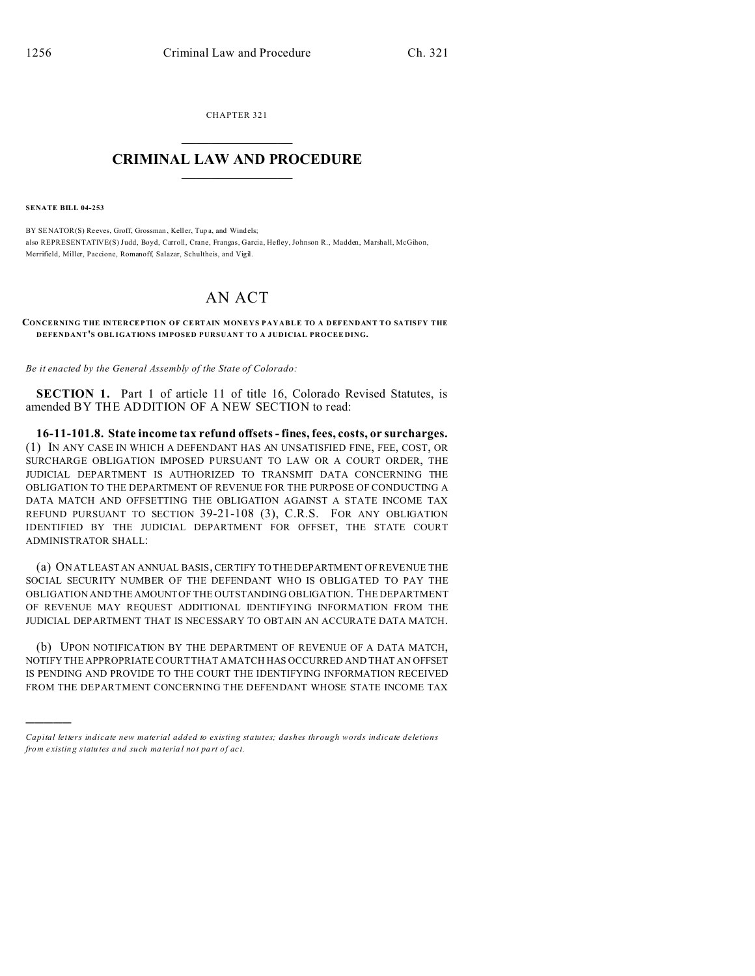CHAPTER 321  $\overline{\phantom{a}}$  , where  $\overline{\phantom{a}}$ 

## **CRIMINAL LAW AND PROCEDURE**  $\_$   $\_$   $\_$   $\_$   $\_$   $\_$   $\_$   $\_$   $\_$

**SENATE BILL 04-253**

)))))

BY SENATOR(S) Reeves, Groff, Grossman, Keller, Tup a, and Windels; also REPRESENTATIVE(S) Judd, Boyd, Carroll, Crane, Frangas, Garcia, Hefley, Johnson R., Madden, Marshall, McGihon, Merrifield, Miller, Paccione, Romanoff, Salazar, Schultheis, and Vigil.

## AN ACT

**CONCERNING THE INTERCEPTION OF CERTAIN MONEYS PAYABLE TO A DEFENDANT TO SATISFY THE DEFENDANT'S OBL IGATIONS IMPOSED PURSUANT TO A JUDICIAL PROCEE DING.**

*Be it enacted by the General Assembly of the State of Colorado:*

**SECTION 1.** Part 1 of article 11 of title 16, Colorado Revised Statutes, is amended BY THE ADDITION OF A NEW SECTION to read:

**16-11-101.8. State income tax refund offsets - fines, fees, costs, or surcharges.** (1) IN ANY CASE IN WHICH A DEFENDANT HAS AN UNSATISFIED FINE, FEE, COST, OR SURCHARGE OBLIGATION IMPOSED PURSUANT TO LAW OR A COURT ORDER, THE JUDICIAL DEPARTMENT IS AUTHORIZED TO TRANSMIT DATA CONCERNING THE OBLIGATION TO THE DEPARTMENT OF REVENUE FOR THE PURPOSE OF CONDUCTING A DATA MATCH AND OFFSETTING THE OBLIGATION AGAINST A STATE INCOME TAX REFUND PURSUANT TO SECTION 39-21-108 (3), C.R.S. FOR ANY OBLIGATION IDENTIFIED BY THE JUDICIAL DEPARTMENT FOR OFFSET, THE STATE COURT ADMINISTRATOR SHALL:

(a) ON AT LEAST AN ANNUAL BASIS, CERTIFY TO THE DEPARTMENT OF REVENUE THE SOCIAL SECURITY NUMBER OF THE DEFENDANT WHO IS OBLIGATED TO PAY THE OBLIGATION AND THE AMOUNT OF THE OUTSTANDING OBLIGATION. THE DEPARTMENT OF REVENUE MAY REQUEST ADDITIONAL IDENTIFYING INFORMATION FROM THE JUDICIAL DEPARTMENT THAT IS NECESSARY TO OBTAIN AN ACCURATE DATA MATCH.

(b) UPON NOTIFICATION BY THE DEPARTMENT OF REVENUE OF A DATA MATCH, NOTIFY THE APPROPRIATE COURT THAT A MATCH HAS OCCURRED AND THAT AN OFFSET IS PENDING AND PROVIDE TO THE COURT THE IDENTIFYING INFORMATION RECEIVED FROM THE DEPARTMENT CONCERNING THE DEFENDANT WHOSE STATE INCOME TAX

*Capital letters indicate new material added to existing statutes; dashes through words indicate deletions from e xistin g statu tes a nd such ma teria l no t pa rt of ac t.*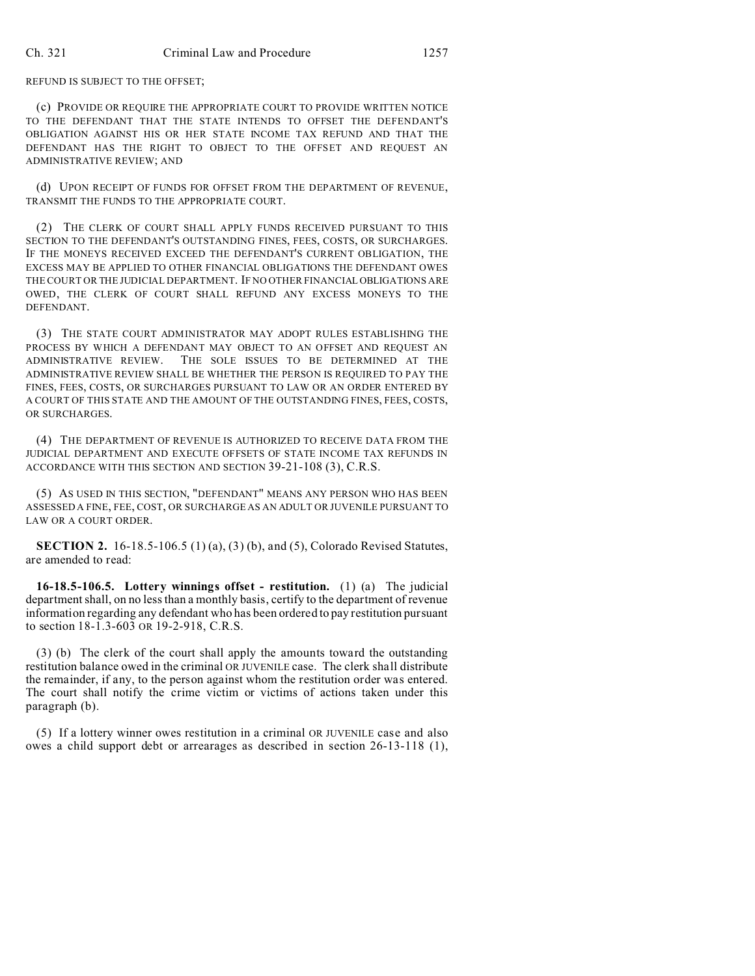## REFUND IS SUBJECT TO THE OFFSET;

(c) PROVIDE OR REQUIRE THE APPROPRIATE COURT TO PROVIDE WRITTEN NOTICE TO THE DEFENDANT THAT THE STATE INTENDS TO OFFSET THE DEFENDANT'S OBLIGATION AGAINST HIS OR HER STATE INCOME TAX REFUND AND THAT THE DEFENDANT HAS THE RIGHT TO OBJECT TO THE OFFSET AND REQUEST AN ADMINISTRATIVE REVIEW; AND

(d) UPON RECEIPT OF FUNDS FOR OFFSET FROM THE DEPARTMENT OF REVENUE, TRANSMIT THE FUNDS TO THE APPROPRIATE COURT.

(2) THE CLERK OF COURT SHALL APPLY FUNDS RECEIVED PURSUANT TO THIS SECTION TO THE DEFENDANT'S OUTSTANDING FINES, FEES, COSTS, OR SURCHARGES. IF THE MONEYS RECEIVED EXCEED THE DEFENDANT'S CURRENT OBLIGATION, THE EXCESS MAY BE APPLIED TO OTHER FINANCIAL OBLIGATIONS THE DEFENDANT OWES THE COURT OR THE JUDICIAL DEPARTMENT. IF NO OTHER FINANCIAL OBLIGATIONS ARE OWED, THE CLERK OF COURT SHALL REFUND ANY EXCESS MONEYS TO THE DEFENDANT.

(3) THE STATE COURT ADMINISTRATOR MAY ADOPT RULES ESTABLISHING THE PROCESS BY WHICH A DEFENDANT MAY OBJECT TO AN OFFSET AND REQUEST AN ADMINISTRATIVE REVIEW. THE SOLE ISSUES TO BE DETERMINED AT THE ADMINISTRATIVE REVIEW SHALL BE WHETHER THE PERSON IS REQUIRED TO PAY THE FINES, FEES, COSTS, OR SURCHARGES PURSUANT TO LAW OR AN ORDER ENTERED BY A COURT OF THIS STATE AND THE AMOUNT OF THE OUTSTANDING FINES, FEES, COSTS, OR SURCHARGES.

(4) THE DEPARTMENT OF REVENUE IS AUTHORIZED TO RECEIVE DATA FROM THE JUDICIAL DEPARTMENT AND EXECUTE OFFSETS OF STATE INCOME TAX REFUNDS IN ACCORDANCE WITH THIS SECTION AND SECTION 39-21-108 (3), C.R.S.

(5) AS USED IN THIS SECTION, "DEFENDANT" MEANS ANY PERSON WHO HAS BEEN ASSESSED A FINE, FEE, COST, OR SURCHARGE AS AN ADULT OR JUVENILE PURSUANT TO LAW OR A COURT ORDER.

**SECTION 2.** 16-18.5-106.5 (1) (a), (3) (b), and (5), Colorado Revised Statutes, are amended to read:

**16-18.5-106.5. Lottery winnings offset - restitution.** (1) (a) The judicial department shall, on no less than a monthly basis, certify to the department of revenue information regarding any defendant who has been ordered to pay restitution pursuant to section 18-1.3-603 OR 19-2-918, C.R.S.

(3) (b) The clerk of the court shall apply the amounts toward the outstanding restitution balance owed in the criminal OR JUVENILE case. The clerk shall distribute the remainder, if any, to the person against whom the restitution order was entered. The court shall notify the crime victim or victims of actions taken under this paragraph (b).

(5) If a lottery winner owes restitution in a criminal OR JUVENILE case and also owes a child support debt or arrearages as described in section 26-13-118 (1),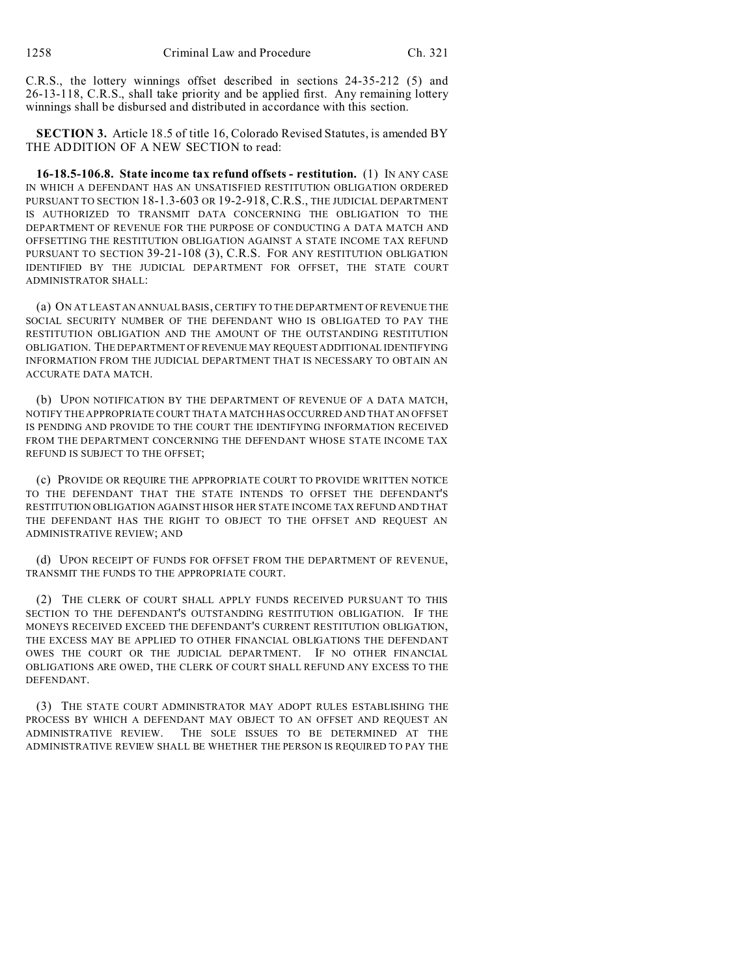C.R.S., the lottery winnings offset described in sections 24-35-212 (5) and 26-13-118, C.R.S., shall take priority and be applied first. Any remaining lottery winnings shall be disbursed and distributed in accordance with this section.

**SECTION 3.** Article 18.5 of title 16, Colorado Revised Statutes, is amended BY THE ADDITION OF A NEW SECTION to read:

**16-18.5-106.8. State income tax refund offsets - restitution.** (1) IN ANY CASE IN WHICH A DEFENDANT HAS AN UNSATISFIED RESTITUTION OBLIGATION ORDERED PURSUANT TO SECTION 18-1.3-603 OR 19-2-918, C.R.S., THE JUDICIAL DEPARTMENT IS AUTHORIZED TO TRANSMIT DATA CONCERNING THE OBLIGATION TO THE DEPARTMENT OF REVENUE FOR THE PURPOSE OF CONDUCTING A DATA MATCH AND OFFSETTING THE RESTITUTION OBLIGATION AGAINST A STATE INCOME TAX REFUND PURSUANT TO SECTION 39-21-108 (3), C.R.S. FOR ANY RESTITUTION OBLIGATION IDENTIFIED BY THE JUDICIAL DEPARTMENT FOR OFFSET, THE STATE COURT ADMINISTRATOR SHALL:

(a) ON AT LEAST AN ANNUAL BASIS, CERTIFY TO THE DEPARTMENT OF REVENUE THE SOCIAL SECURITY NUMBER OF THE DEFENDANT WHO IS OBLIGATED TO PAY THE RESTITUTION OBLIGATION AND THE AMOUNT OF THE OUTSTANDING RESTITUTION OBLIGATION. THE DEPARTMENT OF REVENUE MAY REQUEST ADDITIONAL IDENTIFYING INFORMATION FROM THE JUDICIAL DEPARTMENT THAT IS NECESSARY TO OBTAIN AN ACCURATE DATA MATCH.

(b) UPON NOTIFICATION BY THE DEPARTMENT OF REVENUE OF A DATA MATCH, NOTIFY THE APPROPRIATE COURT THAT A MATCHHAS OCCURRED AND THAT AN OFFSET IS PENDING AND PROVIDE TO THE COURT THE IDENTIFYING INFORMATION RECEIVED FROM THE DEPARTMENT CONCERNING THE DEFENDANT WHOSE STATE INCOME TAX REFUND IS SUBJECT TO THE OFFSET;

(c) PROVIDE OR REQUIRE THE APPROPRIATE COURT TO PROVIDE WRITTEN NOTICE TO THE DEFENDANT THAT THE STATE INTENDS TO OFFSET THE DEFENDANT'S RESTITUTION OBLIGATION AGAINST HIS OR HER STATE INCOME TAX REFUND AND THAT THE DEFENDANT HAS THE RIGHT TO OBJECT TO THE OFFSET AND REQUEST AN ADMINISTRATIVE REVIEW; AND

(d) UPON RECEIPT OF FUNDS FOR OFFSET FROM THE DEPARTMENT OF REVENUE, TRANSMIT THE FUNDS TO THE APPROPRIATE COURT.

(2) THE CLERK OF COURT SHALL APPLY FUNDS RECEIVED PURSUANT TO THIS SECTION TO THE DEFENDANT'S OUTSTANDING RESTITUTION OBLIGATION. IF THE MONEYS RECEIVED EXCEED THE DEFENDANT'S CURRENT RESTITUTION OBLIGATION, THE EXCESS MAY BE APPLIED TO OTHER FINANCIAL OBLIGATIONS THE DEFENDANT OWES THE COURT OR THE JUDICIAL DEPARTMENT. IF NO OTHER FINANCIAL OBLIGATIONS ARE OWED, THE CLERK OF COURT SHALL REFUND ANY EXCESS TO THE DEFENDANT.

(3) THE STATE COURT ADMINISTRATOR MAY ADOPT RULES ESTABLISHING THE PROCESS BY WHICH A DEFENDANT MAY OBJECT TO AN OFFSET AND REQUEST AN ADMINISTRATIVE REVIEW. THE SOLE ISSUES TO BE DETERMINED AT THE ADMINISTRATIVE REVIEW SHALL BE WHETHER THE PERSON IS REQUIRED TO PAY THE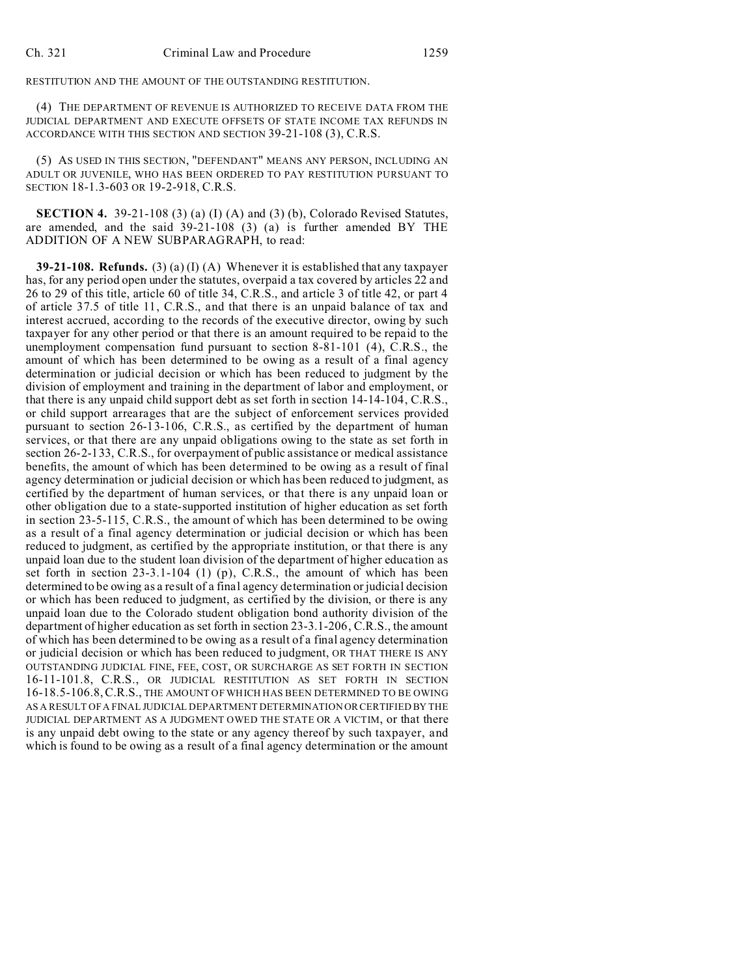RESTITUTION AND THE AMOUNT OF THE OUTSTANDING RESTITUTION.

(4) THE DEPARTMENT OF REVENUE IS AUTHORIZED TO RECEIVE DATA FROM THE JUDICIAL DEPARTMENT AND EXECUTE OFFSETS OF STATE INCOME TAX REFUNDS IN ACCORDANCE WITH THIS SECTION AND SECTION 39-21-108 (3), C.R.S.

(5) AS USED IN THIS SECTION, "DEFENDANT" MEANS ANY PERSON, INCLUDING AN ADULT OR JUVENILE, WHO HAS BEEN ORDERED TO PAY RESTITUTION PURSUANT TO SECTION 18-1.3-603 OR 19-2-918, C.R.S.

**SECTION 4.** 39-21-108 (3) (a) (I) (A) and (3) (b), Colorado Revised Statutes, are amended, and the said 39-21-108 (3) (a) is further amended BY THE ADDITION OF A NEW SUBPARAGRAPH, to read:

**39-21-108. Refunds.** (3) (a) (I) (A) Whenever it is established that any taxpayer has, for any period open under the statutes, overpaid a tax covered by articles 22 and 26 to 29 of this title, article 60 of title 34, C.R.S., and article 3 of title 42, or part 4 of article 37.5 of title 11, C.R.S., and that there is an unpaid balance of tax and interest accrued, according to the records of the executive director, owing by such taxpayer for any other period or that there is an amount required to be repaid to the unemployment compensation fund pursuant to section 8-81-101 (4), C.R.S., the amount of which has been determined to be owing as a result of a final agency determination or judicial decision or which has been reduced to judgment by the division of employment and training in the department of labor and employment, or that there is any unpaid child support debt as set forth in section 14-14-104, C.R.S., or child support arrearages that are the subject of enforcement services provided pursuant to section 26-13-106, C.R.S., as certified by the department of human services, or that there are any unpaid obligations owing to the state as set forth in section 26-2-133, C.R.S., for overpayment of public assistance or medical assistance benefits, the amount of which has been determined to be owing as a result of final agency determination or judicial decision or which has been reduced to judgment, as certified by the department of human services, or that there is any unpaid loan or other obligation due to a state-supported institution of higher education as set forth in section 23-5-115, C.R.S., the amount of which has been determined to be owing as a result of a final agency determination or judicial decision or which has been reduced to judgment, as certified by the appropriate institution, or that there is any unpaid loan due to the student loan division of the department of higher education as set forth in section 23-3.1-104 (1) (p), C.R.S., the amount of which has been determined to be owing as a result of a final agency determination or judicial decision or which has been reduced to judgment, as certified by the division, or there is any unpaid loan due to the Colorado student obligation bond authority division of the department of higher education as set forth in section 23-3.1-206, C.R.S., the amount of which has been determined to be owing as a result of a final agency determination or judicial decision or which has been reduced to judgment, OR THAT THERE IS ANY OUTSTANDING JUDICIAL FINE, FEE, COST, OR SURCHARGE AS SET FORTH IN SECTION 16-11-101.8, C.R.S., OR JUDICIAL RESTITUTION AS SET FORTH IN SECTION 16-18.5-106.8,C.R.S., THE AMOUNT OF WHICH HAS BEEN DETERMINED TO BE OWING AS A RESULT OF A FINAL JUDICIAL DEPARTMENT DETERMINATION OR CERTIFIED BY THE JUDICIAL DEPARTMENT AS A JUDGMENT OWED THE STATE OR A VICTIM, or that there is any unpaid debt owing to the state or any agency thereof by such taxpayer, and which is found to be owing as a result of a final agency determination or the amount